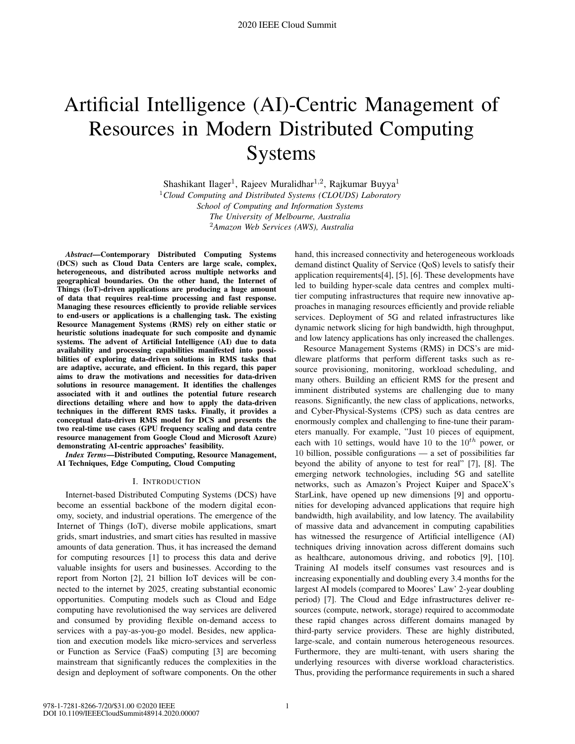# Artificial Intelligence (AI)-Centric Management of Resources in Modern Distributed Computing Systems

Shashikant Ilager<sup>1</sup>, Rajeev Muralidhar<sup>1,2</sup>, Rajkumar Buyya<sup>1</sup> <sup>1</sup>*Cloud Computing and Distributed Systems (CLOUDS) Laboratory School of Computing and Information Systems The University of Melbourne, Australia* <sup>2</sup>*Amazon Web Services (AWS), Australia*

*Abstract*—Contemporary Distributed Computing Systems (DCS) such as Cloud Data Centers are large scale, complex, heterogeneous, and distributed across multiple networks and geographical boundaries. On the other hand, the Internet of Things (IoT)-driven applications are producing a huge amount of data that requires real-time processing and fast response. Managing these resources efficiently to provide reliable services to end-users or applications is a challenging task. The existing Resource Management Systems (RMS) rely on either static or heuristic solutions inadequate for such composite and dynamic systems. The advent of Artificial Intelligence (AI) due to data availability and processing capabilities manifested into possibilities of exploring data-driven solutions in RMS tasks that are adaptive, accurate, and efficient. In this regard, this paper aims to draw the motivations and necessities for data-driven solutions in resource management. It identifies the challenges associated with it and outlines the potential future research directions detailing where and how to apply the data-driven techniques in the different RMS tasks. Finally, it provides a conceptual data-driven RMS model for DCS and presents the two real-time use cases (GPU frequency scaling and data centre resource management from Google Cloud and Microsoft Azure) demonstrating AI-centric approaches' feasibility.

*Index Terms*—Distributed Computing, Resource Management, AI Techniques, Edge Computing, Cloud Computing

#### I. INTRODUCTION

Internet-based Distributed Computing Systems (DCS) have become an essential backbone of the modern digital economy, society, and industrial operations. The emergence of the Internet of Things (IoT), diverse mobile applications, smart grids, smart industries, and smart cities has resulted in massive amounts of data generation. Thus, it has increased the demand for computing resources [1] to process this data and derive valuable insights for users and businesses. According to the report from Norton [2], 21 billion IoT devices will be connected to the internet by 2025, creating substantial economic opportunities. Computing models such as Cloud and Edge computing have revolutionised the way services are delivered and consumed by providing flexible on-demand access to services with a pay-as-you-go model. Besides, new application and execution models like micro-services and serverless or Function as Service (FaaS) computing [3] are becoming mainstream that significantly reduces the complexities in the design and deployment of software components. On the other

hand, this increased connectivity and heterogeneous workloads demand distinct Quality of Service (QoS) levels to satisfy their application requirements[4], [5], [6]. These developments have led to building hyper-scale data centres and complex multitier computing infrastructures that require new innovative approaches in managing resources efficiently and provide reliable services. Deployment of 5G and related infrastructures like dynamic network slicing for high bandwidth, high throughput, and low latency applications has only increased the challenges.

Resource Management Systems (RMS) in DCS's are middleware platforms that perform different tasks such as resource provisioning, monitoring, workload scheduling, and many others. Building an efficient RMS for the present and imminent distributed systems are challenging due to many reasons. Significantly, the new class of applications, networks, and Cyber-Physical-Systems (CPS) such as data centres are enormously complex and challenging to fine-tune their parameters manually. For example, "Just 10 pieces of equipment, each with 10 settings, would have 10 to the  $10^{th}$  power, or 10 billion, possible configurations — a set of possibilities far beyond the ability of anyone to test for real" [7], [8]. The emerging network technologies, including 5G and satellite networks, such as Amazon's Project Kuiper and SpaceX's StarLink, have opened up new dimensions [9] and opportunities for developing advanced applications that require high bandwidth, high availability, and low latency. The availability of massive data and advancement in computing capabilities has witnessed the resurgence of Artificial intelligence (AI) techniques driving innovation across different domains such as healthcare, autonomous driving, and robotics [9], [10]. Training AI models itself consumes vast resources and is increasing exponentially and doubling every 3.4 months for the largest AI models (compared to Moores' Law' 2-year doubling period) [7]. The Cloud and Edge infrastructures deliver resources (compute, network, storage) required to accommodate these rapid changes across different domains managed by third-party service providers. These are highly distributed, large-scale, and contain numerous heterogeneous resources. Furthermore, they are multi-tenant, with users sharing the underlying resources with diverse workload characteristics. Thus, providing the performance requirements in such a shared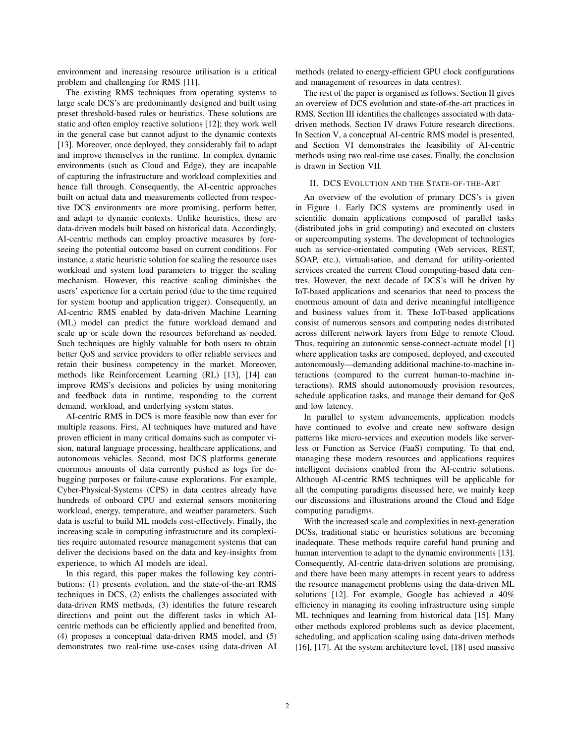environment and increasing resource utilisation is a critical problem and challenging for RMS [11].

The existing RMS techniques from operating systems to large scale DCS's are predominantly designed and built using preset threshold-based rules or heuristics. These solutions are static and often employ reactive solutions [12]; they work well in the general case but cannot adjust to the dynamic contexts [13]. Moreover, once deployed, they considerably fail to adapt and improve themselves in the runtime. In complex dynamic environments (such as Cloud and Edge), they are incapable of capturing the infrastructure and workload complexities and hence fall through. Consequently, the AI-centric approaches built on actual data and measurements collected from respective DCS environments are more promising, perform better, and adapt to dynamic contexts. Unlike heuristics, these are data-driven models built based on historical data. Accordingly, AI-centric methods can employ proactive measures by foreseeing the potential outcome based on current conditions. For instance, a static heuristic solution for scaling the resource uses workload and system load parameters to trigger the scaling mechanism. However, this reactive scaling diminishes the users' experience for a certain period (due to the time required for system bootup and application trigger). Consequently, an AI-centric RMS enabled by data-driven Machine Learning (ML) model can predict the future workload demand and scale up or scale down the resources beforehand as needed. Such techniques are highly valuable for both users to obtain better QoS and service providers to offer reliable services and retain their business competency in the market. Moreover, methods like Reinforcement Learning (RL) [13], [14] can improve RMS's decisions and policies by using monitoring and feedback data in runtime, responding to the current demand, workload, and underlying system status.

AI-centric RMS in DCS is more feasible now than ever for multiple reasons. First, AI techniques have matured and have proven efficient in many critical domains such as computer vision, natural language processing, healthcare applications, and autonomous vehicles. Second, most DCS platforms generate enormous amounts of data currently pushed as logs for debugging purposes or failure-cause explorations. For example, Cyber-Physical-Systems (CPS) in data centres already have hundreds of onboard CPU and external sensors monitoring workload, energy, temperature, and weather parameters. Such data is useful to build ML models cost-effectively. Finally, the increasing scale in computing infrastructure and its complexities require automated resource management systems that can deliver the decisions based on the data and key-insights from experience, to which AI models are ideal.

In this regard, this paper makes the following key contributions: (1) presents evolution, and the state-of-the-art RMS techniques in DCS, (2) enlists the challenges associated with data-driven RMS methods, (3) identifies the future research directions and point out the different tasks in which AIcentric methods can be efficiently applied and benefited from, (4) proposes a conceptual data-driven RMS model, and (5) demonstrates two real-time use-cases using data-driven AI methods (related to energy-efficient GPU clock configurations and management of resources in data centres).

The rest of the paper is organised as follows. Section II gives an overview of DCS evolution and state-of-the-art practices in RMS. Section III identifies the challenges associated with datadriven methods. Section IV draws Future research directions. In Section V, a conceptual AI-centric RMS model is presented, and Section VI demonstrates the feasibility of AI-centric methods using two real-time use cases. Finally, the conclusion is drawn in Section VII.

#### II. DCS EVOLUTION AND THE STATE-OF-THE-ART

An overview of the evolution of primary DCS's is given in Figure 1. Early DCS systems are prominently used in scientific domain applications composed of parallel tasks (distributed jobs in grid computing) and executed on clusters or supercomputing systems. The development of technologies such as service-orientated computing (Web services, REST, SOAP, etc.), virtualisation, and demand for utility-oriented services created the current Cloud computing-based data centres. However, the next decade of DCS's will be driven by IoT-based applications and scenarios that need to process the enormous amount of data and derive meaningful intelligence and business values from it. These IoT-based applications consist of numerous sensors and computing nodes distributed across different network layers from Edge to remote Cloud. Thus, requiring an autonomic sense-connect-actuate model [1] where application tasks are composed, deployed, and executed autonomously—demanding additional machine-to-machine interactions (compared to the current human-to-machine interactions). RMS should autonomously provision resources, schedule application tasks, and manage their demand for QoS and low latency.

In parallel to system advancements, application models have continued to evolve and create new software design patterns like micro-services and execution models like serverless or Function as Service (FaaS) computing. To that end, managing these modern resources and applications requires intelligent decisions enabled from the AI-centric solutions. Although AI-centric RMS techniques will be applicable for all the computing paradigms discussed here, we mainly keep our discussions and illustrations around the Cloud and Edge computing paradigms.

With the increased scale and complexities in next-generation DCSs, traditional static or heuristics solutions are becoming inadequate. These methods require careful hand pruning and human intervention to adapt to the dynamic environments [13]. Consequently, AI-centric data-driven solutions are promising, and there have been many attempts in recent years to address the resource management problems using the data-driven ML solutions [12]. For example, Google has achieved a 40% efficiency in managing its cooling infrastructure using simple ML techniques and learning from historical data [15]. Many other methods explored problems such as device placement, scheduling, and application scaling using data-driven methods [16], [17]. At the system architecture level, [18] used massive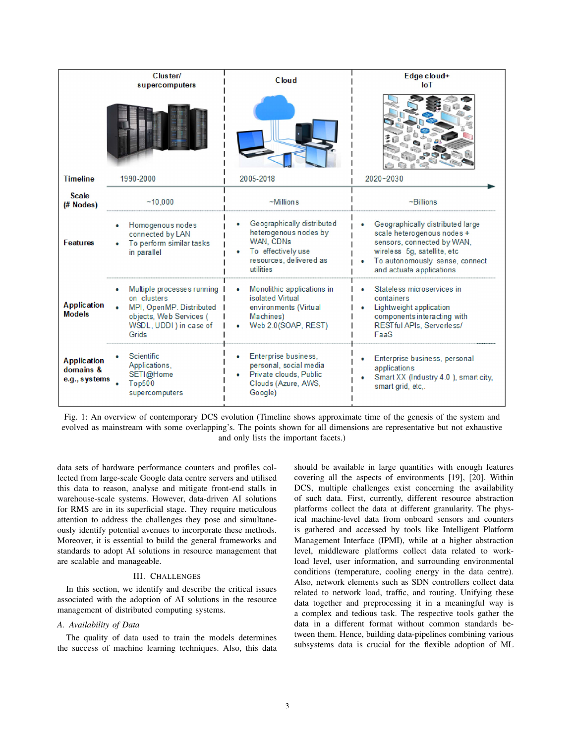|                                                  | <b>Cluster/</b><br>supercomputers                                                                                                      | <b>Cloud</b>                                                                                                                   | Edge cloud+<br><b>IoT</b>                                                                                                                                                                 |
|--------------------------------------------------|----------------------------------------------------------------------------------------------------------------------------------------|--------------------------------------------------------------------------------------------------------------------------------|-------------------------------------------------------------------------------------------------------------------------------------------------------------------------------------------|
|                                                  |                                                                                                                                        |                                                                                                                                |                                                                                                                                                                                           |
| <b>Timeline</b>                                  | 1990-2000                                                                                                                              | 2005-2018                                                                                                                      | 2020~2030                                                                                                                                                                                 |
| <b>Scale</b><br>(# Nodes)                        | ~10.000                                                                                                                                | $~\sim$ Millions                                                                                                               | $\neg$ Billions                                                                                                                                                                           |
| <b>Features</b>                                  | Homogenous nodes<br>connected by LAN<br>To perform similar tasks<br>in parallel                                                        | Geographically distributed<br>heterogenous nodes by<br>WAN, CDNs<br>To effectively use<br>resources, delivered as<br>utilities | Geographically distributed large<br>scale heterogenous nodes +<br>sensors, connected by WAN,<br>wireless 5g, satellite, etc<br>To autonomously sense, connect<br>and actuate applications |
| <b>Application</b><br><b>Models</b>              | Multiple processes running  <br>on clusters<br>MPI, OpenMP, Distributed<br>objects, Web Services (<br>WSDL, UDDI ) in case of<br>Grids | Monolithic applications in<br>isolated Virtual<br>environments (Virtual<br>Machines)<br>Web 2.0(SOAP, REST)                    | Stateless microservices in<br>containers<br>Lightweight application<br>components interacting with<br>RESTful APIs, Serverless/<br>FaaS                                                   |
| <b>Application</b><br>domains &<br>e.g., systems | Scientific<br>Applications,<br>SETI@Home<br>Top500<br>supercomputers                                                                   | Enterprise business,<br>personal, social media<br>Private clouds, Public<br>Clouds (Azure, AWS,<br>Google)                     | Enterprise business, personal<br>applications<br>Smart XX (Industry 4.0), smart city,<br>smart grid, etc                                                                                  |

Fig. 1: An overview of contemporary DCS evolution (Timeline shows approximate time of the genesis of the system and evolved as mainstream with some overlapping's. The points shown for all dimensions are representative but not exhaustive and only lists the important facets.)

data sets of hardware performance counters and profiles collected from large-scale Google data centre servers and utilised this data to reason, analyse and mitigate front-end stalls in warehouse-scale systems. However, data-driven AI solutions for RMS are in its superficial stage. They require meticulous attention to address the challenges they pose and simultaneously identify potential avenues to incorporate these methods. Moreover, it is essential to build the general frameworks and standards to adopt AI solutions in resource management that are scalable and manageable.

# III. CHALLENGES

In this section, we identify and describe the critical issues associated with the adoption of AI solutions in the resource management of distributed computing systems.

# *A. Availability of Data*

The quality of data used to train the models determines the success of machine learning techniques. Also, this data should be available in large quantities with enough features covering all the aspects of environments [19], [20]. Within DCS, multiple challenges exist concerning the availability of such data. First, currently, different resource abstraction platforms collect the data at different granularity. The physical machine-level data from onboard sensors and counters is gathered and accessed by tools like Intelligent Platform Management Interface (IPMI), while at a higher abstraction level, middleware platforms collect data related to workload level, user information, and surrounding environmental conditions (temperature, cooling energy in the data centre). Also, network elements such as SDN controllers collect data related to network load, traffic, and routing. Unifying these data together and preprocessing it in a meaningful way is a complex and tedious task. The respective tools gather the data in a different format without common standards between them. Hence, building data-pipelines combining various subsystems data is crucial for the flexible adoption of ML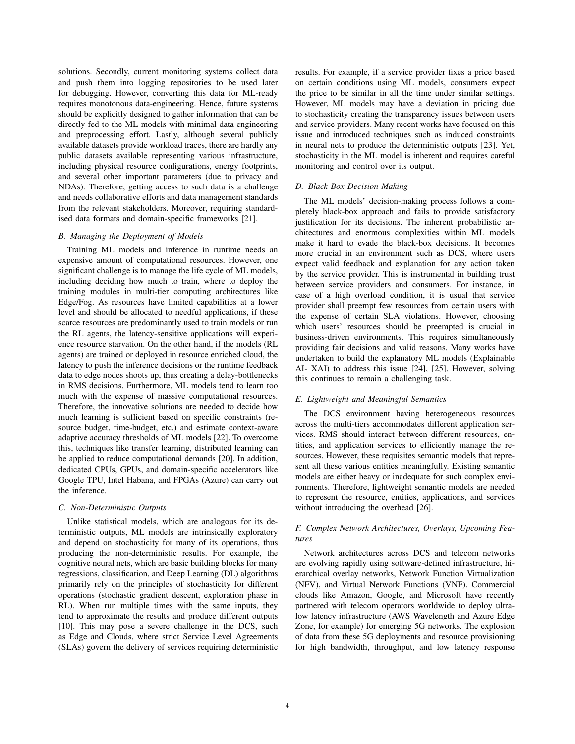solutions. Secondly, current monitoring systems collect data and push them into logging repositories to be used later for debugging. However, converting this data for ML-ready requires monotonous data-engineering. Hence, future systems should be explicitly designed to gather information that can be directly fed to the ML models with minimal data engineering and preprocessing effort. Lastly, although several publicly available datasets provide workload traces, there are hardly any public datasets available representing various infrastructure, including physical resource configurations, energy footprints, and several other important parameters (due to privacy and NDAs). Therefore, getting access to such data is a challenge and needs collaborative efforts and data management standards from the relevant stakeholders. Moreover, requiring standardised data formats and domain-specific frameworks [21].

## *B. Managing the Deployment of Models*

Training ML models and inference in runtime needs an expensive amount of computational resources. However, one significant challenge is to manage the life cycle of ML models, including deciding how much to train, where to deploy the training modules in multi-tier computing architectures like Edge/Fog. As resources have limited capabilities at a lower level and should be allocated to needful applications, if these scarce resources are predominantly used to train models or run the RL agents, the latency-sensitive applications will experience resource starvation. On the other hand, if the models (RL agents) are trained or deployed in resource enriched cloud, the latency to push the inference decisions or the runtime feedback data to edge nodes shoots up, thus creating a delay-bottlenecks in RMS decisions. Furthermore, ML models tend to learn too much with the expense of massive computational resources. Therefore, the innovative solutions are needed to decide how much learning is sufficient based on specific constraints (resource budget, time-budget, etc.) and estimate context-aware adaptive accuracy thresholds of ML models [22]. To overcome this, techniques like transfer learning, distributed learning can be applied to reduce computational demands [20]. In addition, dedicated CPUs, GPUs, and domain-specific accelerators like Google TPU, Intel Habana, and FPGAs (Azure) can carry out the inference.

## *C. Non-Deterministic Outputs*

Unlike statistical models, which are analogous for its deterministic outputs, ML models are intrinsically exploratory and depend on stochasticity for many of its operations, thus producing the non-deterministic results. For example, the cognitive neural nets, which are basic building blocks for many regressions, classification, and Deep Learning (DL) algorithms primarily rely on the principles of stochasticity for different operations (stochastic gradient descent, exploration phase in RL). When run multiple times with the same inputs, they tend to approximate the results and produce different outputs [10]. This may pose a severe challenge in the DCS, such as Edge and Clouds, where strict Service Level Agreements (SLAs) govern the delivery of services requiring deterministic

results. For example, if a service provider fixes a price based on certain conditions using ML models, consumers expect the price to be similar in all the time under similar settings. However, ML models may have a deviation in pricing due to stochasticity creating the transparency issues between users and service providers. Many recent works have focused on this issue and introduced techniques such as induced constraints in neural nets to produce the deterministic outputs [23]. Yet, stochasticity in the ML model is inherent and requires careful monitoring and control over its output.

## *D. Black Box Decision Making*

The ML models' decision-making process follows a completely black-box approach and fails to provide satisfactory justification for its decisions. The inherent probabilistic architectures and enormous complexities within ML models make it hard to evade the black-box decisions. It becomes more crucial in an environment such as DCS, where users expect valid feedback and explanation for any action taken by the service provider. This is instrumental in building trust between service providers and consumers. For instance, in case of a high overload condition, it is usual that service provider shall preempt few resources from certain users with the expense of certain SLA violations. However, choosing which users' resources should be preempted is crucial in business-driven environments. This requires simultaneously providing fair decisions and valid reasons. Many works have undertaken to build the explanatory ML models (Explainable AI- XAI) to address this issue [24], [25]. However, solving this continues to remain a challenging task.

#### *E. Lightweight and Meaningful Semantics*

The DCS environment having heterogeneous resources across the multi-tiers accommodates different application services. RMS should interact between different resources, entities, and application services to efficiently manage the resources. However, these requisites semantic models that represent all these various entities meaningfully. Existing semantic models are either heavy or inadequate for such complex environments. Therefore, lightweight semantic models are needed to represent the resource, entities, applications, and services without introducing the overhead [26].

## *F. Complex Network Architectures, Overlays, Upcoming Features*

Network architectures across DCS and telecom networks are evolving rapidly using software-defined infrastructure, hierarchical overlay networks, Network Function Virtualization (NFV), and Virtual Network Functions (VNF). Commercial clouds like Amazon, Google, and Microsoft have recently partnered with telecom operators worldwide to deploy ultralow latency infrastructure (AWS Wavelength and Azure Edge Zone, for example) for emerging 5G networks. The explosion of data from these 5G deployments and resource provisioning for high bandwidth, throughput, and low latency response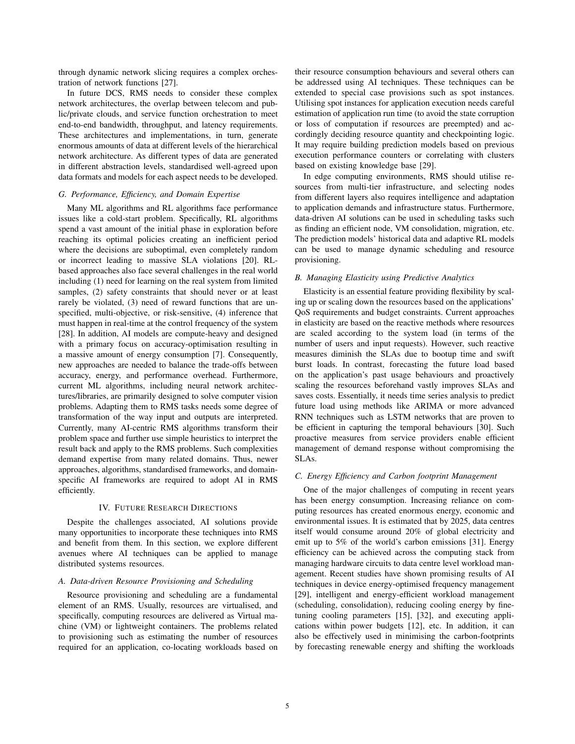through dynamic network slicing requires a complex orchestration of network functions [27].

In future DCS, RMS needs to consider these complex network architectures, the overlap between telecom and public/private clouds, and service function orchestration to meet end-to-end bandwidth, throughput, and latency requirements. These architectures and implementations, in turn, generate enormous amounts of data at different levels of the hierarchical network architecture. As different types of data are generated in different abstraction levels, standardised well-agreed upon data formats and models for each aspect needs to be developed.

## *G. Performance, Efficiency, and Domain Expertise*

Many ML algorithms and RL algorithms face performance issues like a cold-start problem. Specifically, RL algorithms spend a vast amount of the initial phase in exploration before reaching its optimal policies creating an inefficient period where the decisions are suboptimal, even completely random or incorrect leading to massive SLA violations [20]. RLbased approaches also face several challenges in the real world including (1) need for learning on the real system from limited samples, (2) safety constraints that should never or at least rarely be violated, (3) need of reward functions that are unspecified, multi-objective, or risk-sensitive, (4) inference that must happen in real-time at the control frequency of the system [28]. In addition, AI models are compute-heavy and designed with a primary focus on accuracy-optimisation resulting in a massive amount of energy consumption [7]. Consequently, new approaches are needed to balance the trade-offs between accuracy, energy, and performance overhead. Furthermore, current ML algorithms, including neural network architectures/libraries, are primarily designed to solve computer vision problems. Adapting them to RMS tasks needs some degree of transformation of the way input and outputs are interpreted. Currently, many AI-centric RMS algorithms transform their problem space and further use simple heuristics to interpret the result back and apply to the RMS problems. Such complexities demand expertise from many related domains. Thus, newer approaches, algorithms, standardised frameworks, and domainspecific AI frameworks are required to adopt AI in RMS efficiently.

#### IV. FUTURE RESEARCH DIRECTIONS

Despite the challenges associated, AI solutions provide many opportunities to incorporate these techniques into RMS and benefit from them. In this section, we explore different avenues where AI techniques can be applied to manage distributed systems resources.

## *A. Data-driven Resource Provisioning and Scheduling*

Resource provisioning and scheduling are a fundamental element of an RMS. Usually, resources are virtualised, and specifically, computing resources are delivered as Virtual machine (VM) or lightweight containers. The problems related to provisioning such as estimating the number of resources required for an application, co-locating workloads based on

their resource consumption behaviours and several others can be addressed using AI techniques. These techniques can be extended to special case provisions such as spot instances. Utilising spot instances for application execution needs careful estimation of application run time (to avoid the state corruption or loss of computation if resources are preempted) and accordingly deciding resource quantity and checkpointing logic. It may require building prediction models based on previous execution performance counters or correlating with clusters based on existing knowledge base [29].

In edge computing environments, RMS should utilise resources from multi-tier infrastructure, and selecting nodes from different layers also requires intelligence and adaptation to application demands and infrastructure status. Furthermore, data-driven AI solutions can be used in scheduling tasks such as finding an efficient node, VM consolidation, migration, etc. The prediction models' historical data and adaptive RL models can be used to manage dynamic scheduling and resource provisioning.

# *B. Managing Elasticity using Predictive Analytics*

Elasticity is an essential feature providing flexibility by scaling up or scaling down the resources based on the applications' QoS requirements and budget constraints. Current approaches in elasticity are based on the reactive methods where resources are scaled according to the system load (in terms of the number of users and input requests). However, such reactive measures diminish the SLAs due to bootup time and swift burst loads. In contrast, forecasting the future load based on the application's past usage behaviours and proactively scaling the resources beforehand vastly improves SLAs and saves costs. Essentially, it needs time series analysis to predict future load using methods like ARIMA or more advanced RNN techniques such as LSTM networks that are proven to be efficient in capturing the temporal behaviours [30]. Such proactive measures from service providers enable efficient management of demand response without compromising the SLAs.

#### *C. Energy Efficiency and Carbon footprint Management*

One of the major challenges of computing in recent years has been energy consumption. Increasing reliance on computing resources has created enormous energy, economic and environmental issues. It is estimated that by 2025, data centres itself would consume around 20% of global electricity and emit up to 5% of the world's carbon emissions [31]. Energy efficiency can be achieved across the computing stack from managing hardware circuits to data centre level workload management. Recent studies have shown promising results of AI techniques in device energy-optimised frequency management [29], intelligent and energy-efficient workload management (scheduling, consolidation), reducing cooling energy by finetuning cooling parameters [15], [32], and executing applications within power budgets [12], etc. In addition, it can also be effectively used in minimising the carbon-footprints by forecasting renewable energy and shifting the workloads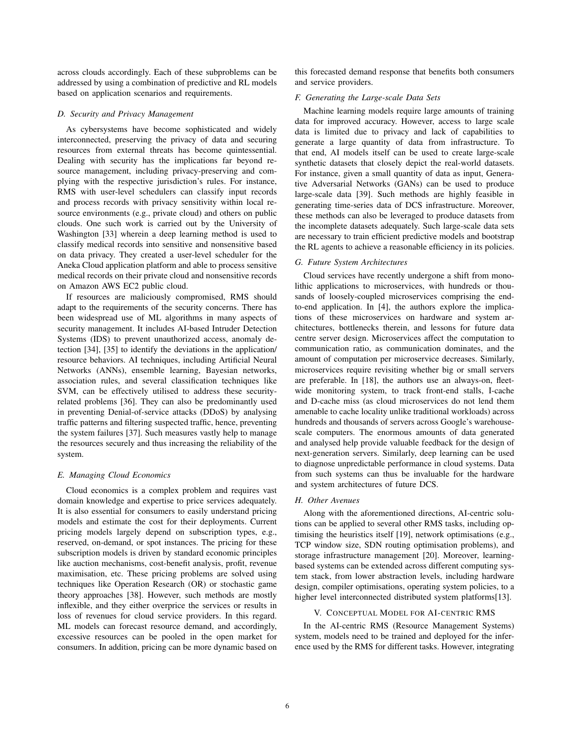across clouds accordingly. Each of these subproblems can be addressed by using a combination of predictive and RL models based on application scenarios and requirements.

# *D. Security and Privacy Management*

As cybersystems have become sophisticated and widely interconnected, preserving the privacy of data and securing resources from external threats has become quintessential. Dealing with security has the implications far beyond resource management, including privacy-preserving and complying with the respective jurisdiction's rules. For instance, RMS with user-level schedulers can classify input records and process records with privacy sensitivity within local resource environments (e.g., private cloud) and others on public clouds. One such work is carried out by the University of Washington [33] wherein a deep learning method is used to classify medical records into sensitive and nonsensitive based on data privacy. They created a user-level scheduler for the Aneka Cloud application platform and able to process sensitive medical records on their private cloud and nonsensitive records on Amazon AWS EC2 public cloud.

If resources are maliciously compromised, RMS should adapt to the requirements of the security concerns. There has been widespread use of ML algorithms in many aspects of security management. It includes AI-based Intruder Detection Systems (IDS) to prevent unauthorized access, anomaly detection [34], [35] to identify the deviations in the application/ resource behaviors. AI techniques, including Artificial Neural Networks (ANNs), ensemble learning, Bayesian networks, association rules, and several classification techniques like SVM, can be effectively utilised to address these securityrelated problems [36]. They can also be predominantly used in preventing Denial-of-service attacks (DDoS) by analysing traffic patterns and filtering suspected traffic, hence, preventing the system failures [37]. Such measures vastly help to manage the resources securely and thus increasing the reliability of the system.

#### *E. Managing Cloud Economics*

Cloud economics is a complex problem and requires vast domain knowledge and expertise to price services adequately. It is also essential for consumers to easily understand pricing models and estimate the cost for their deployments. Current pricing models largely depend on subscription types, e.g., reserved, on-demand, or spot instances. The pricing for these subscription models is driven by standard economic principles like auction mechanisms, cost-benefit analysis, profit, revenue maximisation, etc. These pricing problems are solved using techniques like Operation Research (OR) or stochastic game theory approaches [38]. However, such methods are mostly inflexible, and they either overprice the services or results in loss of revenues for cloud service providers. In this regard. ML models can forecast resource demand, and accordingly, excessive resources can be pooled in the open market for consumers. In addition, pricing can be more dynamic based on

this forecasted demand response that benefits both consumers and service providers.

# *F. Generating the Large-scale Data Sets*

Machine learning models require large amounts of training data for improved accuracy. However, access to large scale data is limited due to privacy and lack of capabilities to generate a large quantity of data from infrastructure. To that end, AI models itself can be used to create large-scale synthetic datasets that closely depict the real-world datasets. For instance, given a small quantity of data as input, Generative Adversarial Networks (GANs) can be used to produce large-scale data [39]. Such methods are highly feasible in generating time-series data of DCS infrastructure. Moreover, these methods can also be leveraged to produce datasets from the incomplete datasets adequately. Such large-scale data sets are necessary to train efficient predictive models and bootstrap the RL agents to achieve a reasonable efficiency in its policies.

## *G. Future System Architectures*

Cloud services have recently undergone a shift from monolithic applications to microservices, with hundreds or thousands of loosely-coupled microservices comprising the endto-end application. In [4], the authors explore the implications of these microservices on hardware and system architectures, bottlenecks therein, and lessons for future data centre server design. Microservices affect the computation to communication ratio, as communication dominates, and the amount of computation per microservice decreases. Similarly, microservices require revisiting whether big or small servers are preferable. In [18], the authors use an always-on, fleetwide monitoring system, to track front-end stalls, I-cache and D-cache miss (as cloud microservices do not lend them amenable to cache locality unlike traditional workloads) across hundreds and thousands of servers across Google's warehousescale computers. The enormous amounts of data generated and analysed help provide valuable feedback for the design of next-generation servers. Similarly, deep learning can be used to diagnose unpredictable performance in cloud systems. Data from such systems can thus be invaluable for the hardware and system architectures of future DCS.

#### *H. Other Avenues*

Along with the aforementioned directions, AI-centric solutions can be applied to several other RMS tasks, including optimising the heuristics itself [19], network optimisations (e.g., TCP window size, SDN routing optimisation problems), and storage infrastructure management [20]. Moreover, learningbased systems can be extended across different computing system stack, from lower abstraction levels, including hardware design, compiler optimisations, operating system policies, to a higher level interconnected distributed system platforms[13].

## V. CONCEPTUAL MODEL FOR AI-CENTRIC RMS

In the AI-centric RMS (Resource Management Systems) system, models need to be trained and deployed for the inference used by the RMS for different tasks. However, integrating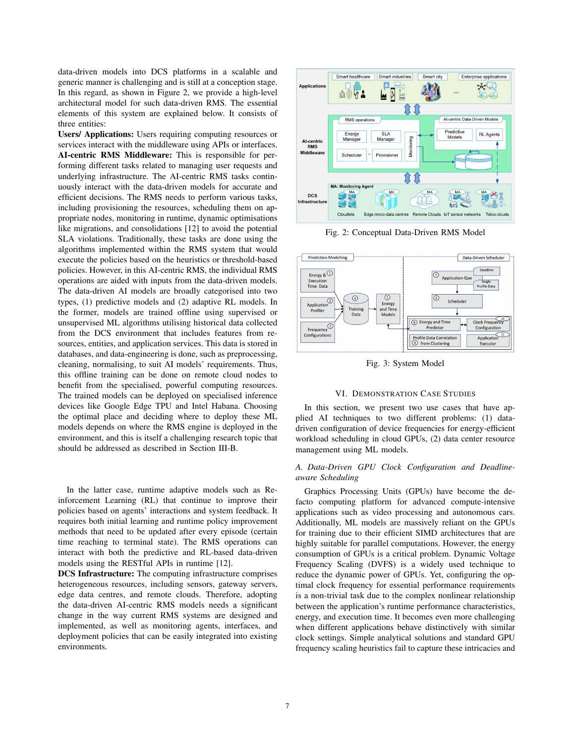data-driven models into DCS platforms in a scalable and generic manner is challenging and is still at a conception stage. In this regard, as shown in Figure 2, we provide a high-level architectural model for such data-driven RMS. The essential elements of this system are explained below. It consists of three entities:

Users/ Applications: Users requiring computing resources or services interact with the middleware using APIs or interfaces. AI-centric RMS Middleware: This is responsible for performing different tasks related to managing user requests and underlying infrastructure. The AI-centric RMS tasks continuously interact with the data-driven models for accurate and efficient decisions. The RMS needs to perform various tasks, including provisioning the resources, scheduling them on appropriate nodes, monitoring in runtime, dynamic optimisations like migrations, and consolidations [12] to avoid the potential SLA violations. Traditionally, these tasks are done using the algorithms implemented within the RMS system that would execute the policies based on the heuristics or threshold-based policies. However, in this AI-centric RMS, the individual RMS operations are aided with inputs from the data-driven models. The data-driven AI models are broadly categorised into two types, (1) predictive models and (2) adaptive RL models. In the former, models are trained offline using supervised or unsupervised ML algorithms utilising historical data collected from the DCS environment that includes features from resources, entities, and application services. This data is stored in databases, and data-engineering is done, such as preprocessing, cleaning, normalising, to suit AI models' requirements. Thus, this offline training can be done on remote cloud nodes to benefit from the specialised, powerful computing resources. The trained models can be deployed on specialised inference devices like Google Edge TPU and Intel Habana. Choosing the optimal place and deciding where to deploy these ML models depends on where the RMS engine is deployed in the environment, and this is itself a challenging research topic that should be addressed as described in Section III-B.

In the latter case, runtime adaptive models such as Reinforcement Learning (RL) that continue to improve their policies based on agents' interactions and system feedback. It requires both initial learning and runtime policy improvement methods that need to be updated after every episode (certain time reaching to terminal state). The RMS operations can interact with both the predictive and RL-based data-driven models using the RESTful APIs in runtime [12].

DCS Infrastructure: The computing infrastructure comprises heterogeneous resources, including sensors, gateway servers, edge data centres, and remote clouds. Therefore, adopting the data-driven AI-centric RMS models needs a significant change in the way current RMS systems are designed and implemented, as well as monitoring agents, interfaces, and deployment policies that can be easily integrated into existing environments.



Fig. 2: Conceptual Data-Driven RMS Model



Fig. 3: System Model

## VI. DEMONSTRATION CASE STUDIES

In this section, we present two use cases that have applied AI techniques to two different problems: (1) datadriven configuration of device frequencies for energy-efficient workload scheduling in cloud GPUs, (2) data center resource management using ML models.

# *A. Data-Driven GPU Clock Configuration and Deadlineaware Scheduling*

Graphics Processing Units (GPUs) have become the defacto computing platform for advanced compute-intensive applications such as video processing and autonomous cars. Additionally, ML models are massively reliant on the GPUs for training due to their efficient SIMD architectures that are highly suitable for parallel computations. However, the energy consumption of GPUs is a critical problem. Dynamic Voltage Frequency Scaling (DVFS) is a widely used technique to reduce the dynamic power of GPUs. Yet, configuring the optimal clock frequency for essential performance requirements is a non-trivial task due to the complex nonlinear relationship between the application's runtime performance characteristics, energy, and execution time. It becomes even more challenging when different applications behave distinctively with similar clock settings. Simple analytical solutions and standard GPU frequency scaling heuristics fail to capture these intricacies and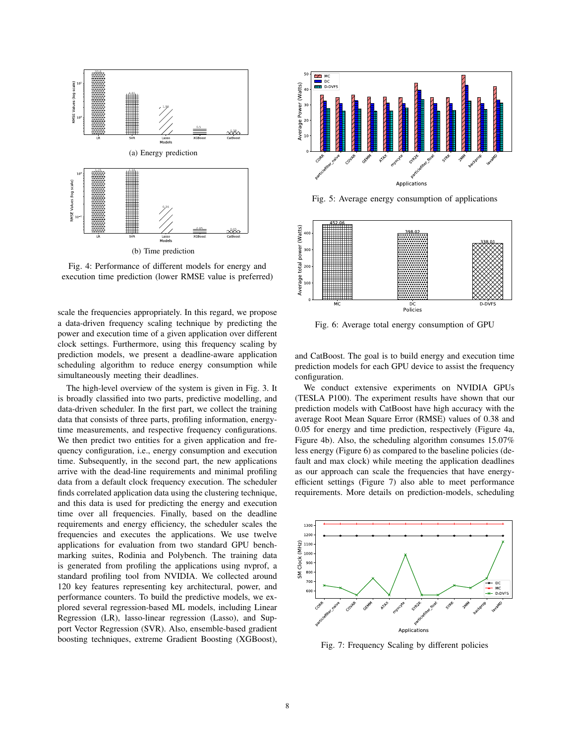

Fig. 4: Performance of different models for energy and execution time prediction (lower RMSE value is preferred)

scale the frequencies appropriately. In this regard, we propose a data-driven frequency scaling technique by predicting the power and execution time of a given application over different clock settings. Furthermore, using this frequency scaling by prediction models, we present a deadline-aware application scheduling algorithm to reduce energy consumption while simultaneously meeting their deadlines.

The high-level overview of the system is given in Fig. 3. It is broadly classified into two parts, predictive modelling, and data-driven scheduler. In the first part, we collect the training data that consists of three parts, profiling information, energytime measurements, and respective frequency configurations. We then predict two entities for a given application and frequency configuration, i.e., energy consumption and execution time. Subsequently, in the second part, the new applications arrive with the dead-line requirements and minimal profiling data from a default clock frequency execution. The scheduler finds correlated application data using the clustering technique, and this data is used for predicting the energy and execution time over all frequencies. Finally, based on the deadline requirements and energy efficiency, the scheduler scales the frequencies and executes the applications. We use twelve applications for evaluation from two standard GPU benchmarking suites, Rodinia and Polybench. The training data is generated from profiling the applications using nvprof, a standard profiling tool from NVIDIA. We collected around 120 key features representing key architectural, power, and performance counters. To build the predictive models, we explored several regression-based ML models, including Linear Regression (LR), lasso-linear regression (Lasso), and Support Vector Regression (SVR). Also, ensemble-based gradient boosting techniques, extreme Gradient Boosting (XGBoost),



Fig. 5: Average energy consumption of applications



Fig. 6: Average total energy consumption of GPU

and CatBoost. The goal is to build energy and execution time prediction models for each GPU device to assist the frequency configuration.

We conduct extensive experiments on NVIDIA GPUs (TESLA P100). The experiment results have shown that our prediction models with CatBoost have high accuracy with the average Root Mean Square Error (RMSE) values of 0.38 and 0.05 for energy and time prediction, respectively (Figure 4a, Figure 4b). Also, the scheduling algorithm consumes 15.07% less energy (Figure 6) as compared to the baseline policies (default and max clock) while meeting the application deadlines as our approach can scale the frequencies that have energyefficient settings (Figure 7) also able to meet performance requirements. More details on prediction-models, scheduling



Fig. 7: Frequency Scaling by different policies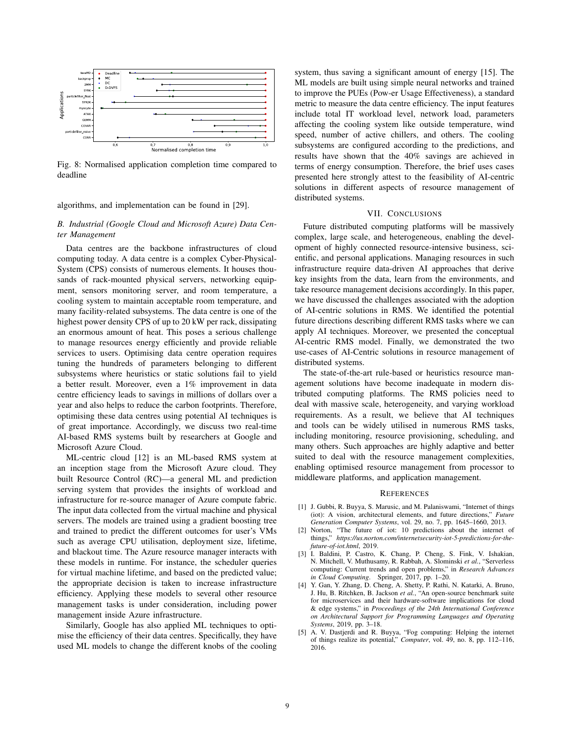

Fig. 8: Normalised application completion time compared to deadline

algorithms, and implementation can be found in [29].

## *B. Industrial (Google Cloud and Microsoft Azure) Data Center Management*

Data centres are the backbone infrastructures of cloud computing today. A data centre is a complex Cyber-Physical-System (CPS) consists of numerous elements. It houses thousands of rack-mounted physical servers, networking equipment, sensors monitoring server, and room temperature, a cooling system to maintain acceptable room temperature, and many facility-related subsystems. The data centre is one of the highest power density CPS of up to 20 kW per rack, dissipating an enormous amount of heat. This poses a serious challenge to manage resources energy efficiently and provide reliable services to users. Optimising data centre operation requires tuning the hundreds of parameters belonging to different subsystems where heuristics or static solutions fail to yield a better result. Moreover, even a 1% improvement in data centre efficiency leads to savings in millions of dollars over a year and also helps to reduce the carbon footprints. Therefore, optimising these data centres using potential AI techniques is of great importance. Accordingly, we discuss two real-time AI-based RMS systems built by researchers at Google and Microsoft Azure Cloud.

ML-centric cloud [12] is an ML-based RMS system at an inception stage from the Microsoft Azure cloud. They built Resource Control (RC)—a general ML and prediction serving system that provides the insights of workload and infrastructure for re-source manager of Azure compute fabric. The input data collected from the virtual machine and physical servers. The models are trained using a gradient boosting tree and trained to predict the different outcomes for user's VMs such as average CPU utilisation, deployment size, lifetime, and blackout time. The Azure resource manager interacts with these models in runtime. For instance, the scheduler queries for virtual machine lifetime, and based on the predicted value; the appropriate decision is taken to increase infrastructure efficiency. Applying these models to several other resource management tasks is under consideration, including power management inside Azure infrastructure.

Similarly, Google has also applied ML techniques to optimise the efficiency of their data centres. Specifically, they have used ML models to change the different knobs of the cooling

system, thus saving a significant amount of energy [15]. The ML models are built using simple neural networks and trained to improve the PUEs (Pow-er Usage Effectiveness), a standard metric to measure the data centre efficiency. The input features include total IT workload level, network load, parameters affecting the cooling system like outside temperature, wind speed, number of active chillers, and others. The cooling subsystems are configured according to the predictions, and results have shown that the 40% savings are achieved in terms of energy consumption. Therefore, the brief uses cases presented here strongly attest to the feasibility of AI-centric solutions in different aspects of resource management of distributed systems.

## VII. CONCLUSIONS

Future distributed computing platforms will be massively complex, large scale, and heterogeneous, enabling the development of highly connected resource-intensive business, scientific, and personal applications. Managing resources in such infrastructure require data-driven AI approaches that derive key insights from the data, learn from the environments, and take resource management decisions accordingly. In this paper, we have discussed the challenges associated with the adoption of AI-centric solutions in RMS. We identified the potential future directions describing different RMS tasks where we can apply AI techniques. Moreover, we presented the conceptual AI-centric RMS model. Finally, we demonstrated the two use-cases of AI-Centric solutions in resource management of distributed systems.

The state-of-the-art rule-based or heuristics resource management solutions have become inadequate in modern distributed computing platforms. The RMS policies need to deal with massive scale, heterogeneity, and varying workload requirements. As a result, we believe that AI techniques and tools can be widely utilised in numerous RMS tasks, including monitoring, resource provisioning, scheduling, and many others. Such approaches are highly adaptive and better suited to deal with the resource management complexities, enabling optimised resource management from processor to middleware platforms, and application management.

#### **REFERENCES**

- [1] J. Gubbi, R. Buyya, S. Marusic, and M. Palaniswami, "Internet of things (iot): A vision, architectural elements, and future directions," *Future Generation Computer Systems*, vol. 29, no. 7, pp. 1645–1660, 2013.
- [2] Norton, "The future of iot: 10 predictions about the internet of things," *https://us.norton.com/internetsecurity-iot-5-predictions-for-thefuture-of-iot.html*, 2019.
- [3] I. Baldini, P. Castro, K. Chang, P. Cheng, S. Fink, V. Ishakian, N. Mitchell, V. Muthusamy, R. Rabbah, A. Slominski *et al.*, "Serverless computing: Current trends and open problems," in *Research Advances in Cloud Computing*. Springer, 2017, pp. 1–20.
- [4] Y. Gan, Y. Zhang, D. Cheng, A. Shetty, P. Rathi, N. Katarki, A. Bruno, J. Hu, B. Ritchken, B. Jackson *et al.*, "An open-source benchmark suite for microservices and their hardware-software implications for cloud & edge systems," in *Proceedings of the 24th International Conference on Architectural Support for Programming Languages and Operating Systems*, 2019, pp. 3–18.
- [5] A. V. Dastjerdi and R. Buyya, "Fog computing: Helping the internet of things realize its potential," *Computer*, vol. 49, no. 8, pp. 112–116, 2016.